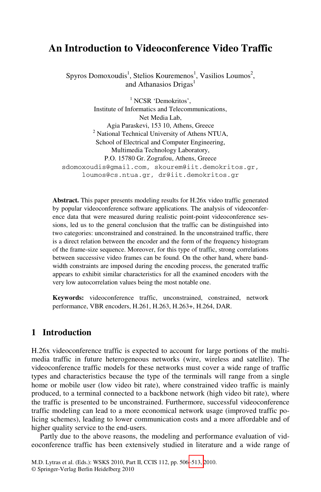# **An Introduction to Videoconference Video Traffic**

Spyros Domoxoudis<sup>1</sup>, Stelios Kouremenos<sup>1</sup>, Vasilios Loumos<sup>2</sup>, and Athanasios Drigas<sup>1</sup>

<sup>1</sup> NCSR 'Demokritos', Institute of Informatics and Telecommunications, Net Media Lab, Agia Paraskevi, 153 10, Athens, Greece 2 <sup>2</sup> National Technical University of Athens NTUA, School of Electrical and Computer Engineering, Multimedia Technology Laboratory, P.O. 15780 Gr. Zografou, Athens, Greece sdomoxoudis@gmail.com, skourem@iit.demokritos.gr, loumos@cs.ntua.gr, dr@iit.demokritos.gr

**Abstract.** This paper presents modeling results for H.26x video traffic generated by popular videoconference software applications. The analysis of videoconference data that were measured during realistic point-point videoconference sessions, led us to the general conclusion that the traffic can be distinguished into two categories: unconstrained and constrained. In the unconstrained traffic, there is a direct relation between the encoder and the form of the frequency histogram of the frame-size sequence. Moreover, for this type of traffic, strong correlations between successive video frames can be found. On the other hand, where bandwidth constraints are imposed during the encoding process, the generated traffic appears to exhibit similar characteristics for all the examined encoders with the very low autocorrelation values being the most notable one.

**Keywords:** videoconference traffic, unconstrained, constrained, network performance, VBR encoders, H.261, H.263, H.263+, H.264, DAR.

#### **1 Introduction**

H.26x videoconference traffic is expected to account for large portions of the multimedia traffic in future heterogeneous networks (wire, wireless and satellite). The videoconference traffic models for these networks must cover a wide range of traffic types and characteristics because the type of the terminals will range from a single home or mobile user (low video bit rate), where constrained video traffic is mainly produced, to a terminal connect[ed to](#page-7-0) a backbone network (high video bit rate), where the traffic is presented to be unconstrained. Furthermore, successful videoconference traffic modeling can lead to a more economical network usage (improved traffic policing schemes), leading to lower communication costs and a more affordable and of higher quality service to the end-users.

Partly due to the above reasons, the modeling and performance evaluation of videoconference traffic has been extensively studied in literature and a wide range of

M.D. Lytras et al. (Eds.): WSKS 2010, Part II, CCIS 112, pp. 506–513, 2010. © Springer-Verlag Berlin Heidelberg 2010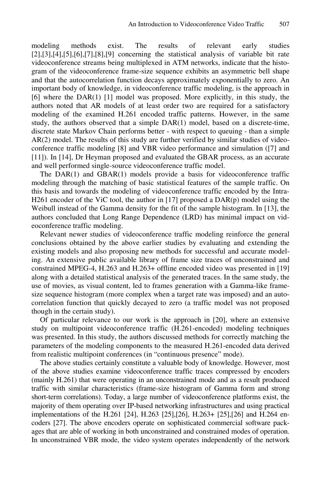modeling methods exist. The results of relevant early studies [2],[3],[4],[5],[6],[7],[8],[9] concerning the statistical analysis of variable bit rate videoconference streams being multiplexed in ATM networks, indicate that the histogram of the videoconference frame-size sequence exhibits an asymmetric bell shape and that the autocorrelation function decays approximately exponentially to zero. An important body of knowledge, in videoconference traffic modeling, is the approach in [6] where the DAR(1) [1] model was proposed. More explicitly, in this study, the authors noted that AR models of at least order two are required for a satisfactory modeling of the examined H.261 encoded traffic patterns. However, in the same study, the authors observed that a simple DAR(1) model, based on a discrete-time, discrete state Markov Chain performs better - with respect to queuing - than a simple AR(2) model. The results of this study are further verified by similar studies of videoconference traffic modeling [8] and VBR video performance and simulation ([7] and [11]). In [14], Dr Heyman proposed and evaluated the GBAR process, as an accurate and well performed single-source videoconference traffic model.

The DAR(1) and GBAR(1) models provide a basis for videoconference traffic modeling through the matching of basic statistical features of the sample traffic. On this basis and towards the modeling of videoconference traffic encoded by the Intra-H261 encoder of the ViC tool, the author in [17] proposed a DAR(p) model using the Weibull instead of the Gamma density for the fit of the sample histogram. In [13], the authors concluded that Long Range Dependence (LRD) has minimal impact on videoconference traffic modeling.

Relevant newer studies of videoconference traffic modeling reinforce the general conclusions obtained by the above earlier studies by evaluating and extending the existing models and also proposing new methods for successful and accurate modeling. An extensive public available library of frame size traces of unconstrained and constrained MPEG-4, H.263 and H.263+ offline encoded video was presented in [19] along with a detailed statistical analysis of the generated traces. In the same study, the use of movies, as visual content, led to frames generation with a Gamma-like framesize sequence histogram (more complex when a target rate was imposed) and an autocorrelation function that quickly decayed to zero (a traffic model was not proposed though in the certain study).

Of particular relevance to our work is the approach in [20], where an extensive study on multipoint videoconference traffic (H.261-encoded) modeling techniques was presented. In this study, the authors discussed methods for correctly matching the parameters of the modeling components to the measured H.261-encoded data derived from realistic multipoint conferences (in "continuous presence" mode).

The above studies certainly constitute a valuable body of knowledge. However, most of the above studies examine videoconference traffic traces compressed by encoders (mainly H.261) that were operating in an unconstrained mode and as a result produced traffic with similar characteristics (frame-size histogram of Gamma form and strong short-term correlations). Today, a large number of videoconference platforms exist, the majority of them operating over IP-based networking infrastructures and using practical implementations of the H.261 [24], H.263 [25],[26], H.263+ [25],[26] and H.264 encoders [27]. The above encoders operate on sophisticated commercial software packages that are able of working in both unconstrained and constrained modes of operation. In unconstrained VBR mode, the video system operates independently of the network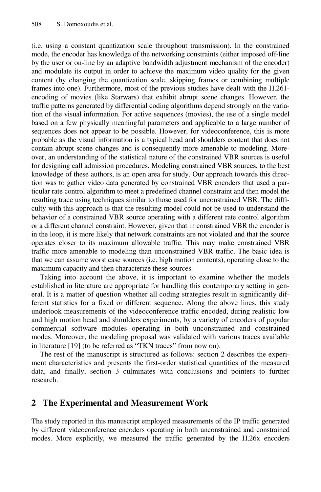(i.e. using a constant quantization scale throughout transmission). In the constrained mode, the encoder has knowledge of the networking constraints (either imposed off-line by the user or on-line by an adaptive bandwidth adjustment mechanism of the encoder) and modulate its output in order to achieve the maximum video quality for the given content (by changing the quantization scale, skipping frames or combining multiple frames into one). Furthermore, most of the previous studies have dealt with the H.261 encoding of movies (like Starwars) that exhibit abrupt scene changes. However, the traffic patterns generated by differential coding algorithms depend strongly on the variation of the visual information. For active sequences (movies), the use of a single model based on a few physically meaningful parameters and applicable to a large number of sequences does not appear to be possible. However, for videoconference, this is more probable as the visual information is a typical head and shoulders content that does not contain abrupt scene changes and is consequently more amenable to modeling. Moreover, an understanding of the statistical nature of the constrained VBR sources is useful for designing call admission procedures. Modeling constrained VBR sources, to the best knowledge of these authors, is an open area for study. Our approach towards this direction was to gather video data generated by constrained VBR encoders that used a particular rate control algorithm to meet a predefined channel constraint and then model the resulting trace using techniques similar to those used for unconstrained VBR. The difficulty with this approach is that the resulting model could not be used to understand the behavior of a constrained VBR source operating with a different rate control algorithm or a different channel constraint. However, given that in constrained VBR the encoder is in the loop, it is more likely that network constraints are not violated and that the source operates closer to its maximum allowable traffic. This may make constrained VBR traffic more amenable to modeling than unconstrained VBR traffic. The basic idea is that we can assume worst case sources (i.e. high motion contents), operating close to the maximum capacity and then characterize these sources.

Taking into account the above, it is important to examine whether the models established in literature are appropriate for handling this contemporary setting in general. It is a matter of question whether all coding strategies result in significantly different statistics for a fixed or different sequence. Along the above lines, this study undertook measurements of the videoconference traffic encoded, during realistic low and high motion head and shoulders experiments, by a variety of encoders of popular commercial software modules operating in both unconstrained and constrained modes. Moreover, the modeling proposal was validated with various traces available in literature [19] (to be referred as "TKN traces" from now on).

The rest of the manuscript is structured as follows: section 2 describes the experiment characteristics and presents the first-order statistical quantities of the measured data, and finally, section 3 culminates with conclusions and pointers to further research.

#### **2 The Experimental and Measurement Work**

The study reported in this manuscript employed measurements of the IP traffic generated by different videoconference encoders operating in both unconstrained and constrained modes. More explicitly, we measured the traffic generated by the H.26x encoders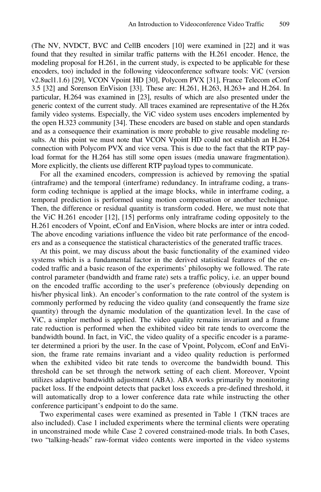(The NV, NVDCT, BVC and CellB encoders [10] were examined in [22] and it was found that they resulted in similar traffic patterns with the H.261 encoder. Hence, the modeling proposal for H.261, in the current study, is expected to be applicable for these encoders, too) included in the following videoconference software tools: ViC (version v2.8ucl1.1.6) [29], VCON Vpoint HD [30], Polycom PVX [31], France Telecom eConf 3.5 [32] and Sorenson EnVision [33]. These are: H.261, H.263, H.263+ and H.264. In particular, H.264 was examined in [23], results of which are also presented under the generic context of the current study. All traces examined are representative of the H.26x family video systems. Especially, the ViC video system uses encoders implemented by the open H.323 community [34]. These encoders are based on stable and open standards and as a consequence their examination is more probable to give reusable modeling results. At this point we must note that VCON Vpoint HD could not establish an H.264 connection with Polycom PVX and vice versa. This is due to the fact that the RTP payload format for the H.264 has still some open issues (media unaware fragmentation). More explicitly, the clients use different RTP payload types to communicate.

For all the examined encoders, compression is achieved by removing the spatial (intraframe) and the temporal (interframe) redundancy. In intraframe coding, a transform coding technique is applied at the image blocks, while in interframe coding, a temporal prediction is performed using motion compensation or another technique. Then, the difference or residual quantity is transform coded. Here, we must note that the ViC H.261 encoder [12], [15] performs only intraframe coding oppositely to the H.261 encoders of Vpoint, eConf and EnVision, where blocks are inter or intra coded. The above encoding variations influence the video bit rate performance of the encoders and as a consequence the statistical characteristics of the generated traffic traces.

At this point, we may discuss about the basic functionality of the examined video systems which is a fundamental factor in the derived statistical features of the encoded traffic and a basic reason of the experiments' philosophy we followed. The rate control parameter (bandwidth and frame rate) sets a traffic policy, i.e. an upper bound on the encoded traffic according to the user's preference (obviously depending on his/her physical link). An encoder's conformation to the rate control of the system is commonly performed by reducing the video quality (and consequently the frame size quantity) through the dynamic modulation of the quantization level. In the case of ViC, a simpler method is applied. The video quality remains invariant and a frame rate reduction is performed when the exhibited video bit rate tends to overcome the bandwidth bound. In fact, in ViC, the video quality of a specific encoder is a parameter determined a priori by the user. In the case of Vpoint, Polycom, eConf and EnVision, the frame rate remains invariant and a video quality reduction is performed when the exhibited video bit rate tends to overcome the bandwidth bound. This threshold can be set through the network setting of each client. Moreover, Vpoint utilizes adaptive bandwidth adjustment (ABA). ABA works primarily by monitoring packet loss. If the endpoint detects that packet loss exceeds a pre-defined threshold, it will automatically drop to a lower conference data rate while instructing the other conference participant's endpoint to do the same.

Two experimental cases were examined as presented in Table 1 (TKN traces are also included). Case 1 included experiments where the terminal clients were operating in unconstrained mode while Case 2 covered constrained-mode trials. In both Cases, two "talking-heads" raw-format video contents were imported in the video systems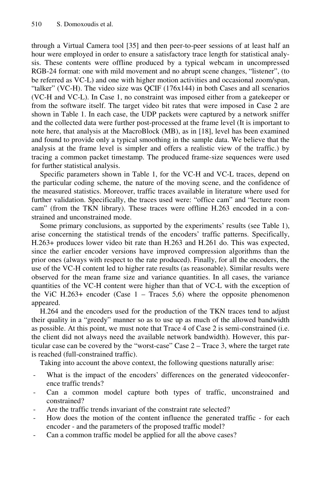through a Virtual Camera tool [35] and then peer-to-peer sessions of at least half an hour were employed in order to ensure a satisfactory trace length for statistical analysis. These contents were offline produced by a typical webcam in uncompressed RGB-24 format: one with mild movement and no abrupt scene changes, "listener", (to be referred as VC-L) and one with higher motion activities and occasional zoom/span, "talker" (VC-H). The video size was QCIF (176x144) in both Cases and all scenarios (VC-H and VC-L). In Case 1, no constraint was imposed either from a gatekeeper or from the software itself. The target video bit rates that were imposed in Case 2 are shown in Table 1. In each case, the UDP packets were captured by a network sniffer and the collected data were further post-processed at the frame level (It is important to note here, that analysis at the MacroBlock (MB), as in [18], level has been examined and found to provide only a typical smoothing in the sample data. We believe that the analysis at the frame level is simpler and offers a realistic view of the traffic.) by tracing a common packet timestamp. The produced frame-size sequences were used for further statistical analysis.

Specific parameters shown in Table 1, for the VC-H and VC-L traces, depend on the particular coding scheme, the nature of the moving scene, and the confidence of the measured statistics. Moreover, traffic traces available in literature where used for further validation. Specifically, the traces used were: "office cam" and "lecture room cam" (from the TKN library). These traces were offline H.263 encoded in a constrained and unconstrained mode.

Some primary conclusions, as supported by the experiments' results (see Table 1), arise concerning the statistical trends of the encoders' traffic patterns. Specifically, H.263+ produces lower video bit rate than H.263 and H.261 do. This was expected, since the earlier encoder versions have improved compression algorithms than the prior ones (always with respect to the rate produced). Finally, for all the encoders, the use of the VC-H content led to higher rate results (as reasonable). Similar results were observed for the mean frame size and variance quantities. In all cases, the variance quantities of the VC-H content were higher than that of VC-L with the exception of the ViC H.263+ encoder (Case  $1 -$  Traces 5,6) where the opposite phenomenon appeared.

H.264 and the encoders used for the production of the TKN traces tend to adjust their quality in a "greedy" manner so as to use up as much of the allowed bandwidth as possible. At this point, we must note that Trace 4 of Case 2 is semi-constrained (i.e. the client did not always need the available network bandwidth). However, this particular case can be covered by the "worst-case" Case 2 – Trace 3, where the target rate is reached (full-constrained traffic).

Taking into account the above context, the following questions naturally arise:

- What is the impact of the encoders' differences on the generated videoconference traffic trends?
- Can a common model capture both types of traffic, unconstrained and constrained?
- Are the traffic trends invariant of the constraint rate selected?
- How does the motion of the content influence the generated traffic for each encoder - and the parameters of the proposed traffic model?
- Can a common traffic model be applied for all the above cases?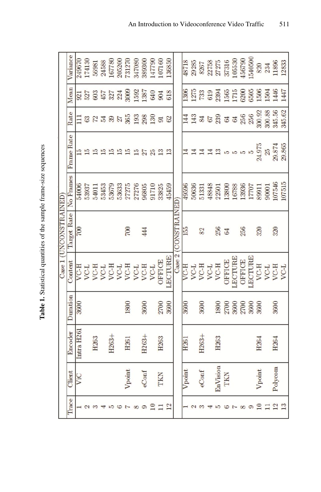| こくちくしこくりょく りしっこ                                                                                                             |
|-----------------------------------------------------------------------------------------------------------------------------|
| l                                                                                                                           |
|                                                                                                                             |
|                                                                                                                             |
| í<br>i                                                                                                                      |
| $+120$<br>֧֧֧֧֧֧֧֧֧֧ׅ֧֦֧֧֧֦֧֧֦֧֧֧֛֛֛֛֚֚֚֚֚֚֚֚֚֚֚֚֚֚֚֚֚֚֚֚֚֚֝֝֝֓֝֝֟֝֬֝֓֝֬֜֝֬֝֝֜<br>֧֧֧֧֧֧֧֧֧ׅ֧֧֧֧֧֧֚֚֚֚֚֚֚֚֚֚֚֚֚֚֚֚֚֝֝֝֝֝֝֜֜ |
| ı                                                                                                                           |
| $\frac{1}{2}$<br>۱                                                                                                          |
|                                                                                                                             |
|                                                                                                                             |
|                                                                                                                             |
|                                                                                                                             |
|                                                                                                                             |
|                                                                                                                             |
|                                                                                                                             |
|                                                                                                                             |

| Frame Rate<br>No Frames<br>Target Rate<br>Content<br>Duration<br>Encoder | Uase 1 (UNUONSTRAINED) |  |        |              | Rate       | Mean              | Variance                                                                 |
|--------------------------------------------------------------------------|------------------------|--|--------|--------------|------------|-------------------|--------------------------------------------------------------------------|
| 54006<br>700<br>3600<br>Intra H <sub>26</sub> 1                          |                        |  |        |              | Ξ          | 921               |                                                                          |
| <b>PARTIERS</b><br>PARTIERS<br>PARTIERS                                  |                        |  | 53937  |              |            | 527               | 249670<br>174130                                                         |
|                                                                          |                        |  | 54011  |              | ខេដ្ឋនិន្ទ | 603               | 56981                                                                    |
|                                                                          |                        |  | 53453  |              |            | 457               | 24588                                                                    |
|                                                                          |                        |  | 53679  |              |            | 327               | 167780<br>205200                                                         |
|                                                                          |                        |  | 53633  |              |            | 224               |                                                                          |
| 700<br>1800                                                              |                        |  | 27275  |              |            | 3009              | 731270                                                                   |
|                                                                          |                        |  | 27276  |              | 193        | 1592              | 347080                                                                   |
| 444<br>3600                                                              |                        |  | 96805  |              | 298        | 1387              | 389300                                                                   |
|                                                                          |                        |  | 91710  |              | 30         | 640               | 147790                                                                   |
| OFFICE<br>2700                                                           |                        |  | 33825  | 13           | $\Xi$      | 904               | 107160                                                                   |
| <b>ECTURE</b><br>3600                                                    |                        |  | 45459  | $\mathbb{S}$ | 62         | 618               | 136850                                                                   |
| Case 2 (CONSTRAINED)                                                     |                        |  |        |              |            |                   |                                                                          |
| 155<br>3600                                                              |                        |  | 49596  |              |            | 1306              | 48718                                                                    |
|                                                                          |                        |  | 50636  |              | 143        | 1275              | 29285                                                                    |
| 82<br><b>HOTH</b><br><b>HOTH</b><br>VOH<br>VOH<br>HOH<br>3600            |                        |  | 51331  |              |            | <b>733</b><br>619 | 8267                                                                     |
|                                                                          |                        |  | 48848  |              |            |                   |                                                                          |
| 256<br>1800                                                              |                        |  | 22501  |              |            | 2394              |                                                                          |
| 64<br>OFFICE<br>2700                                                     |                        |  | 13800  | S            | 3533338    | 1565              | $\begin{array}{l} 22\,758 \\ 27\,275 \\ 37\,316 \\ 1055\,30 \end{array}$ |
| <b>ECTURE</b><br>3600                                                    |                        |  | 16788  | <b>NO NO</b> |            | 1715              |                                                                          |
| 256<br>OFFICE<br>2700                                                    |                        |  | 13936  |              |            | 6200              | 456790                                                                   |
| <b>ECTURE</b><br>3600                                                    |                        |  | 17707  | ã            | 256        | 6505              | 540500                                                                   |
| 320<br>VC-H<br>3600                                                      |                        |  | 89911  | 24.975       | 300.92     | 1506              | 820                                                                      |
|                                                                          |                        |  | 90001  | 25           | 300.88     | 1504              | 234                                                                      |
| 320<br>VCH<br>VCH<br>VCL<br>3600                                         |                        |  | 107546 | 29.874       | 345.56     | 1446              | 11896                                                                    |
|                                                                          |                        |  | 107515 | 29.865       | 345.62     | 1447              | 12833                                                                    |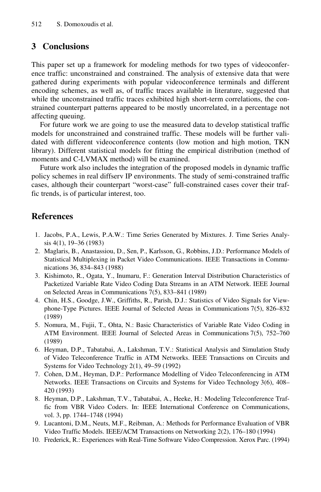## **3 Conclusions**

This paper set up a framework for modeling methods for two types of videoconference traffic: unconstrained and constrained. The analysis of extensive data that were gathered during experiments with popular videoconference terminals and different encoding schemes, as well as, of traffic traces available in literature, suggested that while the unconstrained traffic traces exhibited high short-term correlations, the constrained counterpart patterns appeared to be mostly uncorrelated, in a percentage not affecting queuing.

For future work we are going to use the measured data to develop statistical traffic models for unconstrained and constrained traffic. These models will be further validated with different videoconference contents (low motion and high motion, TKN library). Different statistical models for fitting the empirical distribution (method of moments and C-LVMAX method) will be examined.

Future work also includes the integration of the proposed models in dynamic traffic policy schemes in real diffserv IP environments. The study of semi-constrained traffic cases, although their counterpart "worst-case" full-constrained cases cover their traffic trends, is of particular interest, too.

### **References**

- 1. Jacobs, P.A., Lewis, P.A.W.: Time Series Generated by Mixtures. J. Time Series Analysis 4(1), 19–36 (1983)
- 2. Maglaris, B., Anastassiou, D., Sen, P., Karlsson, G., Robbins, J.D.: Performance Models of Statistical Multiplexing in Packet Video Communications. IEEE Transactions in Communications 36, 834–843 (1988)
- 3. Kishimoto, R., Ogata, Y., Inumaru, F.: Generation Interval Distribution Characteristics of Packetized Variable Rate Video Coding Data Streams in an ATM Network. IEEE Journal on Selected Areas in Communications 7(5), 833–841 (1989)
- 4. Chin, H.S., Goodge, J.W., Griffiths, R., Parish, D.J.: Statistics of Video Signals for Viewphone-Type Pictures. IEEE Journal of Selected Areas in Communications 7(5), 826–832 (1989)
- 5. Nomura, M., Fujii, T., Ohta, N.: Basic Characteristics of Variable Rate Video Coding in ATM Environment. IEEE Journal of Selected Areas in Communications 7(5), 752–760 (1989)
- 6. Heyman, D.P., Tabatabai, A., Lakshman, T.V.: Statistical Analysis and Simulation Study of Video Teleconference Traffic in ATM Networks. IEEE Transactions on Circuits and Systems for Video Technology 2(1), 49–59 (1992)
- 7. Cohen, D.M., Heyman, D.P.: Performance Modelling of Video Teleconferencing in ATM Networks. IEEE Transactions on Circuits and Systems for Video Technology 3(6), 408– 420 (1993)
- 8. Heyman, D.P., Lakshman, T.V., Tabatabai, A., Heeke, H.: Modeling Teleconference Traffic from VBR Video Coders. In: IEEE International Conference on Communications, vol. 3, pp. 1744–1748 (1994)
- 9. Lucantoni, D.M., Neuts, M.F., Reibman, A.: Methods for Performance Evaluation of VBR Video Traffic Models. IEEE/ACM Transactions on Networking 2(2), 176–180 (1994)
- 10. Frederick, R.: Experiences with Real-Time Software Video Compression. Xerox Parc. (1994)